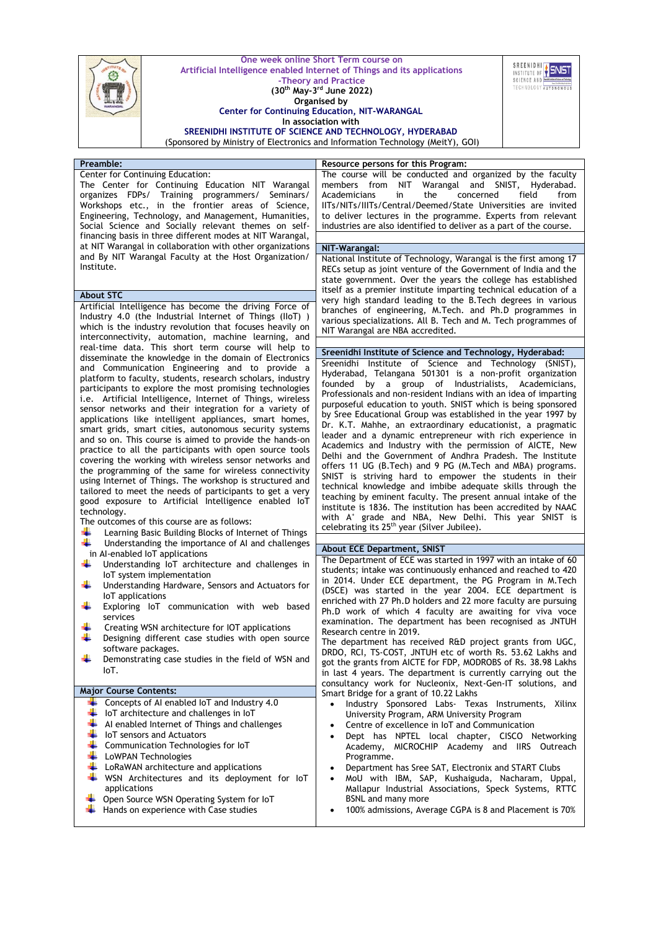